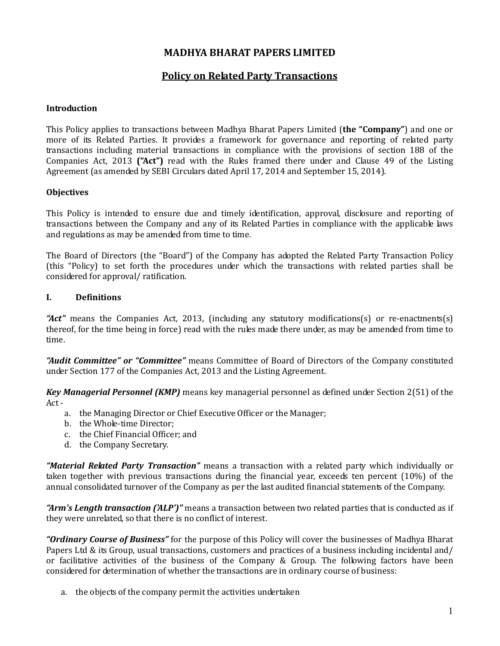# MADHYA BHARAT PAPERS LIMITED

# Policy on Related Party Transactions

# Introduction

This Policy applies to transactions between Madhya Bharat Papers Limited (the "Company") and one or more of its Related Parties. It provides a framework for governance and reporting of related party transactions including material transactions in compliance with the provisions of section 188 of the Companies Act, 2013 ("Act") read with the Rules framed there under and Clause 49 of the Listing Agreement (as amended by SEBI Circulars dated April 17, 2014 and September 15, 2014).

## **Objectives**

This Policy is intended to ensure due and timely identification, approval, disclosure and reporting of transactions between the Company and any of its Related Parties in compliance with the applicable laws and regulations as may be amended from time to time.

The Board of Directors (the "Board") of the Company has adopted the Related Party Transaction Policy (this "Policy) to set forth the procedures under which the transactions with related parties shall be considered for approval/ ratification.

## I. Definitions

" $Act''$  means the Companies Act, 2013, (including any statutory modifications(s) or re-enactments(s) thereof, for the time being in force) read with the rules made there under, as may be amended from time to time.

"Audit Committee" or "Committee" means Committee of Board of Directors of the Company constituted under Section 177 of the Companies Act, 2013 and the Listing Agreement.

Key Managerial Personnel (KMP) means key managerial personnel as defined under Section 2(51) of the Act -

- a. the Managing Director or Chief Executive Officer or the Manager;
- b. the Whole-time Director;
- c. the Chief Financial Officer; and
- d. the Company Secretary.

"Material Related Party Transaction" means a transaction with a related party which individually or taken together with previous transactions during the financial year, exceeds ten percent (10%) of the annual consolidated turnover of the Company as per the last audited financial statements of the Company.

"Arm's Length transaction ('ALP')" means a transaction between two related parties that is conducted as if they were unrelated, so that there is no conflict of interest.

"Ordinary Course of Business" for the purpose of this Policy will cover the businesses of Madhya Bharat Papers Ltd & its Group, usual transactions, customers and practices of a business including incidental and/ or facilitative activities of the business of the Company & Group. The following factors have been considered for determination of whether the transactions are in ordinary course of business:

a. the objects of the company permit the activities undertaken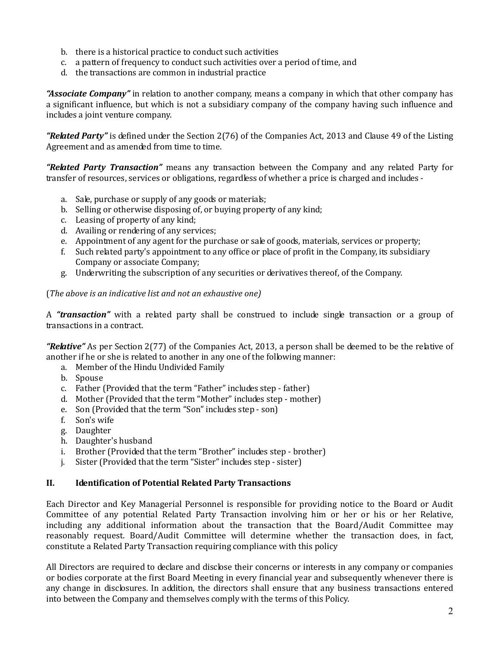- b. there is a historical practice to conduct such activities
- c. a pattern of frequency to conduct such activities over a period of time, and
- d. the transactions are common in industrial practice

"Associate Company" in relation to another company, means a company in which that other company has a significant influence, but which is not a subsidiary company of the company having such influence and includes a joint venture company.

"Related Party" is defined under the Section 2(76) of the Companies Act, 2013 and Clause 49 of the Listing Agreement and as amended from time to time.

**"Related Party Transaction"** means any transaction between the Company and any related Party for transfer of resources, services or obligations, regardless of whether a price is charged and includes -

- a. Sale, purchase or supply of any goods or materials;
- b. Selling or otherwise disposing of, or buying property of any kind;
- c. Leasing of property of any kind;
- d. Availing or rendering of any services;
- e. Appointment of any agent for the purchase or sale of goods, materials, services or property;
- f. Such related party's appointment to any office or place of profit in the Company, its subsidiary Company or associate Company;
- g. Underwriting the subscription of any securities or derivatives thereof, of the Company.

# (The above is an indicative list and not an exhaustive one)

A "transaction" with a related party shall be construed to include single transaction or a group of transactions in a contract.

"Relative" As per Section 2(77) of the Companies Act, 2013, a person shall be deemed to be the relative of another if he or she is related to another in any one of the following manner:

- a. Member of the Hindu Undivided Family
- b. Spouse
- c. Father (Provided that the term "Father" includes step father)
- d. Mother (Provided that the term "Mother" includes step mother)
- e. Son (Provided that the term "Son" includes step son)
- f. Son's wife
- g. Daughter
- h. Daughter's husband
- i. Brother (Provided that the term "Brother" includes step brother)
- j. Sister (Provided that the term "Sister" includes step sister)

# II. Identification of Potential Related Party Transactions

Each Director and Key Managerial Personnel is responsible for providing notice to the Board or Audit Committee of any potential Related Party Transaction involving him or her or his or her Relative, including any additional information about the transaction that the Board/Audit Committee may reasonably request. Board/Audit Committee will determine whether the transaction does, in fact, constitute a Related Party Transaction requiring compliance with this policy

All Directors are required to declare and disclose their concerns or interests in any company or companies or bodies corporate at the first Board Meeting in every financial year and subsequently whenever there is any change in disclosures. In addition, the directors shall ensure that any business transactions entered into between the Company and themselves comply with the terms of this Policy.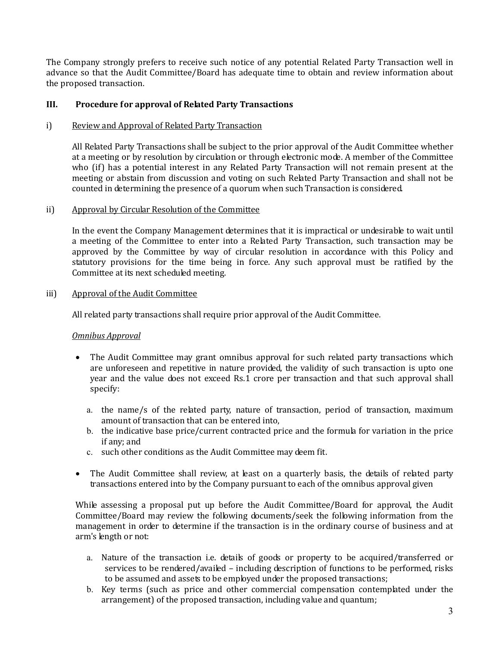The Company strongly prefers to receive such notice of any potential Related Party Transaction well in advance so that the Audit Committee/Board has adequate time to obtain and review information about the proposed transaction.

#### III. Procedure for approval of Related Party Transactions

#### i) Review and Approval of Related Party Transaction

All Related Party Transactions shall be subject to the prior approval of the Audit Committee whether at a meeting or by resolution by circulation or through electronic mode. A member of the Committee who (if) has a potential interest in any Related Party Transaction will not remain present at the meeting or abstain from discussion and voting on such Related Party Transaction and shall not be counted in determining the presence of a quorum when such Transaction is considered.

#### ii) Approval by Circular Resolution of the Committee

In the event the Company Management determines that it is impractical or undesirable to wait until a meeting of the Committee to enter into a Related Party Transaction, such transaction may be approved by the Committee by way of circular resolution in accordance with this Policy and statutory provisions for the time being in force. Any such approval must be ratified by the Committee at its next scheduled meeting.

## iii) Approval of the Audit Committee

All related party transactions shall require prior approval of the Audit Committee.

#### Omnibus Approval

- The Audit Committee may grant omnibus approval for such related party transactions which are unforeseen and repetitive in nature provided, the validity of such transaction is upto one year and the value does not exceed Rs.1 crore per transaction and that such approval shall specify:
	- a. the name/s of the related party, nature of transaction, period of transaction, maximum amount of transaction that can be entered into,
	- b. the indicative base price/current contracted price and the formula for variation in the price if any; and
	- c. such other conditions as the Audit Committee may deem fit.
- The Audit Committee shall review, at least on a quarterly basis, the details of related party transactions entered into by the Company pursuant to each of the omnibus approval given

While assessing a proposal put up before the Audit Committee/Board for approval, the Audit Committee/Board may review the following documents/seek the following information from the management in order to determine if the transaction is in the ordinary course of business and at arm's length or not:

- a. Nature of the transaction i.e. details of goods or property to be acquired/transferred or services to be rendered/availed – including description of functions to be performed, risks to be assumed and assets to be employed under the proposed transactions;
- b. Key terms (such as price and other commercial compensation contemplated under the arrangement) of the proposed transaction, including value and quantum;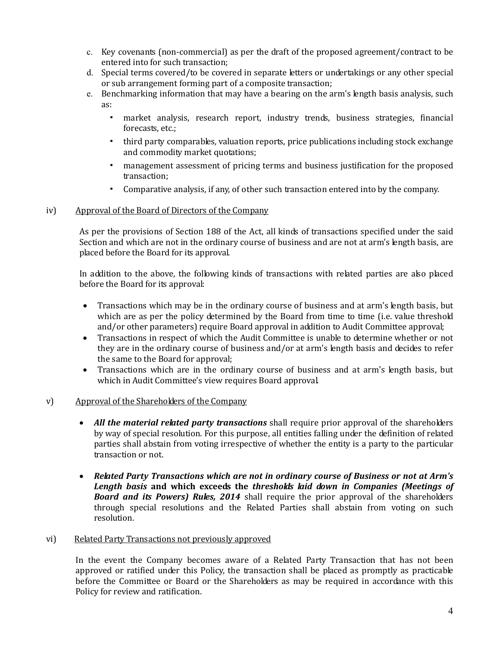- c. Key covenants (non-commercial) as per the draft of the proposed agreement/contract to be entered into for such transaction;
- d. Special terms covered/to be covered in separate letters or undertakings or any other special or sub arrangement forming part of a composite transaction;
- e. Benchmarking information that may have a bearing on the arm's length basis analysis, such as:
	- market analysis, research report, industry trends, business strategies, financial forecasts, etc.;
	- third party comparables, valuation reports, price publications including stock exchange and commodity market quotations;
	- management assessment of pricing terms and business justification for the proposed transaction;
	- Comparative analysis, if any, of other such transaction entered into by the company.

# iv) Approval of the Board of Directors of the Company

As per the provisions of Section 188 of the Act, all kinds of transactions specified under the said Section and which are not in the ordinary course of business and are not at arm's length basis, are placed before the Board for its approval.

 In addition to the above, the following kinds of transactions with related parties are also placed before the Board for its approval:

- Transactions which may be in the ordinary course of business and at arm's length basis, but which are as per the policy determined by the Board from time to time (i.e. value threshold and/or other parameters) require Board approval in addition to Audit Committee approval;
- Transactions in respect of which the Audit Committee is unable to determine whether or not they are in the ordinary course of business and/or at arm's length basis and decides to refer the same to the Board for approval;
- Transactions which are in the ordinary course of business and at arm's length basis, but which in Audit Committee's view requires Board approval.

# v) Approval of the Shareholders of the Company

- All the material related party transactions shall require prior approval of the shareholders by way of special resolution. For this purpose, all entities falling under the definition of related parties shall abstain from voting irrespective of whether the entity is a party to the particular transaction or not.
- Related Party Transactions which are not in ordinary course of Business or not at Arm's Length basis and which exceeds the thresholds laid down in Companies (Meetings of **Board and its Powers) Rules, 2014** shall require the prior approval of the shareholders through special resolutions and the Related Parties shall abstain from voting on such resolution.

#### vi) Related Party Transactions not previously approved

In the event the Company becomes aware of a Related Party Transaction that has not been approved or ratified under this Policy, the transaction shall be placed as promptly as practicable before the Committee or Board or the Shareholders as may be required in accordance with this Policy for review and ratification.